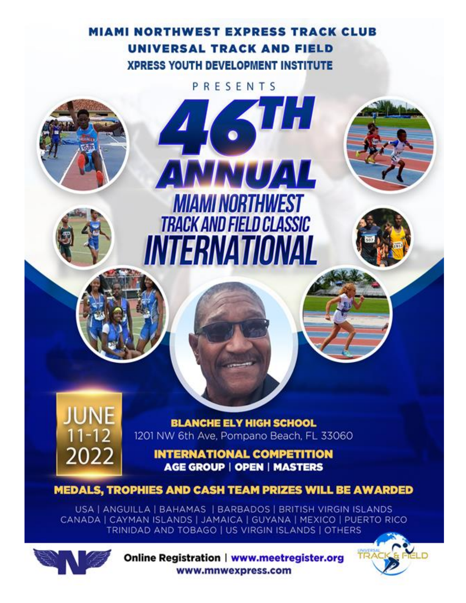# **MIAMI NORTHWEST EXPRESS TRACK CLUB** UNIVERSAL TRACK AND FIELD **XPRESS YOUTH DEVELOPMENT INSTITUTE**

PRESENTS

ANNUAL

**MIAMI NORTHWEST** 

**TRACK AND FIELD CLASSIC** 

INTERNATIONAL



**BLANCHE ELY HIGH SCHOOL** 1201 NW 6th Ave, Pompano Beach, FL 33060

**INTERNATIONAL COMPETITION AGE GROUP | OPEN | MASTERS** 

**MEDALS, TROPHIES AND CASH TEAM PRIZES WILL BE AWARDED** 

USA | ANGUILLA | BAHAMAS | BARBADOS | BRITISH VIRGIN ISLANDS CANADA | CAYMAN ISLANDS | JAMAICA | GUYANA | MEXICO | PUERTO RICO TRINIDAD AND TOBAGO | US VIRGIN ISLANDS | OTHERS



Online Registration | www.meetregister.org www.mnwexpress.com

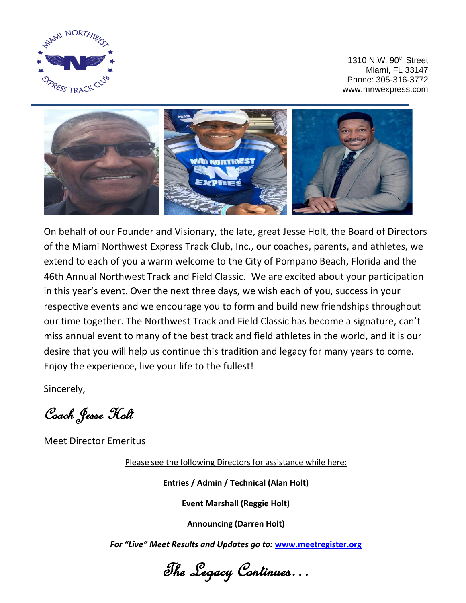

1310 N.W. 90<sup>th</sup> Street Miami, FL 33147 Phone: 305-316-3772 www.mnwexpress.com



On behalf of our Founder and Visionary, the late, great Jesse Holt, the Board of Directors of the Miami Northwest Express Track Club, Inc., our coaches, parents, and athletes, we extend to each of you a warm welcome to the City of Pompano Beach, Florida and the 46th Annual Northwest Track and Field Classic. We are excited about your participation in this year's event. Over the next three days, we wish each of you, success in your respective events and we encourage you to form and build new friendships throughout our time together. The Northwest Track and Field Classic has become a signature, can't miss annual event to many of the best track and field athletes in the world, and it is our desire that you will help us continue this tradition and legacy for many years to come. Enjoy the experience, live your life to the fullest!

Sincerely,

Coach Jesse Holt

Meet Director Emeritus

Please see the following Directors for assistance while here:

**Entries / Admin / Technical (Alan Holt)**

**Event Marshall (Reggie Holt)**

**Announcing (Darren Holt)**

*For "Live" Meet Results and Updates go to:* **[www.meetregister.org](http://www.meetregister.org/)**

The Legacy Continues…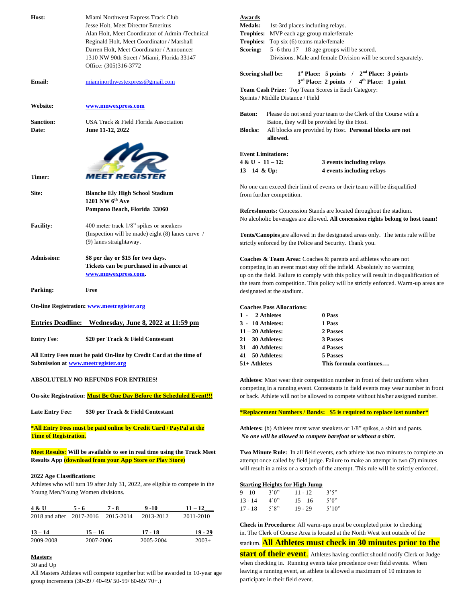| Host:                              | Miami Northwest Express Track Club<br>Jesse Holt, Meet Director Emeritus<br>Alan Holt, Meet Coordinator of Admin /Technical |                              |                      | <b>Awards</b><br><b>Medals:</b>         |                                                |                        | 1st-3rd places including relays.<br><b>Trophies:</b> MVP each age group male/female |                                                                                                                                                                              |
|------------------------------------|-----------------------------------------------------------------------------------------------------------------------------|------------------------------|----------------------|-----------------------------------------|------------------------------------------------|------------------------|-------------------------------------------------------------------------------------|------------------------------------------------------------------------------------------------------------------------------------------------------------------------------|
|                                    | Reginald Holt, Meet Coordinator / Marshall<br>Darren Holt, Meet Coordinator / Announcer                                     |                              |                      | Scoring:                                | <b>Trophies:</b> Top six (6) teams male/female |                        | 5 -6 thru $17 - 18$ age groups will be scored.                                      |                                                                                                                                                                              |
|                                    | 1310 NW 90th Street / Miami, Florida 33147                                                                                  |                              |                      |                                         |                                                |                        |                                                                                     | Divisions. Male and female Division will be scored separately.                                                                                                               |
|                                    | Office: (305)316-3772                                                                                                       |                              |                      |                                         |                                                |                        |                                                                                     |                                                                                                                                                                              |
| Email:                             | miaminorthwestexpress@gmail.com                                                                                             |                              |                      | Scoring shall be:                       |                                                |                        |                                                                                     | $1st$ Place: 5 points / $2nd$ Place: 3 points<br>$3rd$ Place: 2 points / $4th$ Place: 1 point                                                                                |
|                                    |                                                                                                                             |                              |                      |                                         | Sprints / Middle Distance / Field              |                        | Team Cash Prize: Top Team Scores in Each Category:                                  |                                                                                                                                                                              |
| Website:                           | www.mnwexpress.com                                                                                                          |                              |                      |                                         |                                                |                        |                                                                                     |                                                                                                                                                                              |
|                                    |                                                                                                                             |                              |                      | <b>Baton:</b>                           |                                                |                        |                                                                                     | Please do not send your team to the Clerk of the Course with a                                                                                                               |
| <b>Sanction:</b><br>Date:          | USA Track & Field Florida Association<br>June 11-12, 2022                                                                   |                              |                      | <b>Blocks:</b>                          |                                                |                        | Baton, they will be provided by the Host.                                           | All blocks are provided by Host. Personal blocks are not                                                                                                                     |
|                                    |                                                                                                                             |                              |                      |                                         | allowed.                                       |                        |                                                                                     |                                                                                                                                                                              |
|                                    |                                                                                                                             |                              |                      |                                         |                                                |                        |                                                                                     |                                                                                                                                                                              |
|                                    | <b>ALD</b>                                                                                                                  |                              |                      | $4 & U - 11 - 12$ :                     | <b>Event Limitations:</b>                      |                        | 3 events including relays                                                           |                                                                                                                                                                              |
|                                    |                                                                                                                             |                              |                      | $13 - 14$ & Up:                         |                                                |                        | 4 events including relays                                                           |                                                                                                                                                                              |
| Timer:                             | MEET REGISTE                                                                                                                |                              |                      |                                         |                                                |                        |                                                                                     |                                                                                                                                                                              |
| Site:                              | <b>Blanche Ely High School Stadium</b>                                                                                      |                              |                      |                                         | from further competition.                      |                        |                                                                                     | No one can exceed their limit of events or their team will be disqualified                                                                                                   |
|                                    | 1201 NW $6th$ Ave<br>Pompano Beach, Florida 33060                                                                           |                              |                      |                                         |                                                |                        |                                                                                     | Refreshments: Concession Stands are located throughout the stadium.                                                                                                          |
| <b>Facility:</b>                   | 400 meter track 1/8" spikes or sneakers                                                                                     |                              |                      |                                         |                                                |                        |                                                                                     | No alcoholic beverages are allowed. All concession rights belong to host team!                                                                                               |
|                                    | (Inspection will be made) eight (8) lanes curve /                                                                           |                              |                      |                                         |                                                |                        |                                                                                     | Tents/Canopies are allowed in the designated areas only. The tents rule will be                                                                                              |
|                                    | (9) lanes straightaway.                                                                                                     |                              |                      |                                         |                                                |                        | strictly enforced by the Police and Security. Thank you.                            |                                                                                                                                                                              |
| <b>Admission:</b>                  | \$8 per day or \$15 for two days.                                                                                           |                              |                      |                                         |                                                |                        |                                                                                     | <b>Coaches &amp; Team Area:</b> Coaches & parents and athletes who are not                                                                                                   |
|                                    | Tickets can be purchased in advance at                                                                                      |                              |                      |                                         |                                                |                        |                                                                                     | competing in an event must stay off the infield. Absolutely no warming                                                                                                       |
|                                    | www.mnwexpress.com.                                                                                                         |                              |                      |                                         |                                                |                        |                                                                                     | up on the field. Failure to comply with this policy will result in disqualification of                                                                                       |
| Parking:                           | Free                                                                                                                        |                              |                      |                                         |                                                |                        |                                                                                     | the team from competition. This policy will be strictly enforced. Warm-up areas are                                                                                          |
|                                    |                                                                                                                             |                              |                      |                                         | designated at the stadium.                     |                        |                                                                                     |                                                                                                                                                                              |
|                                    | On-line Registration: www.meetregister.org                                                                                  |                              |                      |                                         | <b>Coaches Pass Allocations:</b>               |                        |                                                                                     |                                                                                                                                                                              |
|                                    |                                                                                                                             |                              |                      | 1 - 2 Athletes                          |                                                |                        | 0 Pass                                                                              |                                                                                                                                                                              |
|                                    | Entries Deadline: Wednesday, June 8, 2022 at 11:59 pm                                                                       |                              |                      | 3 - 10 Athletes:<br>$11 - 20$ Athletes: |                                                |                        | 1 Pass<br>2 Passes                                                                  |                                                                                                                                                                              |
| <b>Entry Fee:</b>                  | \$20 per Track & Field Contestant                                                                                           |                              |                      | $21 - 30$ Athletes:                     |                                                |                        | 3 Passes                                                                            |                                                                                                                                                                              |
|                                    |                                                                                                                             |                              |                      | $31 - 40$ Athletes:                     |                                                |                        | <b>4 Passes</b>                                                                     |                                                                                                                                                                              |
|                                    | All Entry Fees must be paid On-line by Credit Card at the time of                                                           |                              |                      | $41 - 50$ Athletes:                     |                                                |                        | 5 Passes                                                                            |                                                                                                                                                                              |
| Submission at www.meetregister.org |                                                                                                                             |                              |                      | 51+ Athletes                            |                                                |                        |                                                                                     | This formula continues                                                                                                                                                       |
|                                    | <b>ABSOLUTELY NO REFUNDS FOR ENTRIES!</b>                                                                                   |                              |                      |                                         |                                                |                        |                                                                                     | Athletes: Must wear their competition number in front of their uniform when<br>competing in a running event. Contestants in field events may wear number in front            |
|                                    | On-site Registration: Must Be One Day Before the Scheduled Event!!!                                                         |                              |                      |                                         |                                                |                        |                                                                                     | or back. Athlete will not be allowed to compete without his/her assigned number.                                                                                             |
| <b>Late Entry Fee:</b>             | \$30 per Track & Field Contestant                                                                                           |                              |                      |                                         |                                                |                        |                                                                                     | *Replacement Numbers / Bands: \$5 is required to replace lost number*                                                                                                        |
|                                    | *All Entry Fees must be paid online by Credit Card / PayPal at the                                                          |                              |                      |                                         |                                                |                        |                                                                                     | Athletes: (b) Athletes must wear sneakers or 1/8" spikes, a shirt and pants.                                                                                                 |
| <b>Time of Registration.</b>       |                                                                                                                             |                              |                      |                                         |                                                |                        |                                                                                     | No one will be allowed to compete barefoot or without a shirt.                                                                                                               |
|                                    | Meet Results: Will be available to see in real time using the Track Meet                                                    |                              |                      |                                         |                                                |                        |                                                                                     | Two Minute Rule: In all field events, each athlete has two minutes to complete an                                                                                            |
|                                    | <b>Results App (download from your App Store or Play Store)</b>                                                             |                              |                      |                                         |                                                |                        |                                                                                     | attempt once called by field judge. Failure to make an attempt in two (2) minutes<br>will result in a miss or a scratch of the attempt. This rule will be strictly enforced. |
| <b>2022 Age Classifications:</b>   |                                                                                                                             |                              |                      |                                         |                                                |                        |                                                                                     |                                                                                                                                                                              |
|                                    | Athletes who will turn 19 after July 31, 2022, are eligible to compete in the                                               |                              |                      |                                         | <b>Starting Heights for High Jump</b>          |                        |                                                                                     |                                                                                                                                                                              |
| Young Men/Young Women divisions.   |                                                                                                                             |                              |                      | $9 - 10$<br>$13 - 14$                   | 3'0''<br>4'0''                                 | $11 - 12$<br>$15 - 16$ | 3'5''<br>5'0''                                                                      |                                                                                                                                                                              |
| 4 & U<br>$5 - 6$                   | $7 - 8$                                                                                                                     | $9 - 10$                     | $11 - 12$            | $17 - 18$                               | 5'8''                                          | $19 - 29$              | 5'10''                                                                              |                                                                                                                                                                              |
| 2018 and after                     | 2017-2016<br>2015-2014                                                                                                      | 2013-2012                    | 2011-2010            |                                         |                                                |                        |                                                                                     |                                                                                                                                                                              |
|                                    |                                                                                                                             |                              |                      |                                         |                                                |                        |                                                                                     | Check in Procedures: All warm-ups must be completed prior to checking                                                                                                        |
| <u> 13 – 14</u><br>2009-2008       | $15 - 16$<br>2007-2006                                                                                                      | <u> 17 - 18</u><br>2005-2004 | $19 - 29$<br>$2003+$ |                                         |                                                |                        |                                                                                     | in. The Clerk of Course Area is located at the North West tent outside of the<br>stadium All Athlates must check in 30 minutes prior to the                                  |

#### stadium. **All Athletes must check in 30 minutes prior to the**

**start of their event.** Athletes having conflict should notify Clerk or Judge when checking in. Running events take precedence over field events. When leaving a running event, an athlete is allowed a maximum of 10 minutes to participate in their field event.

#### **Masters** 30 and Up

All Masters Athletes will compete together but will be awarded in 10-year age group increments (30-39 / 40-49/ 50-59/ 60-69/ 70+.)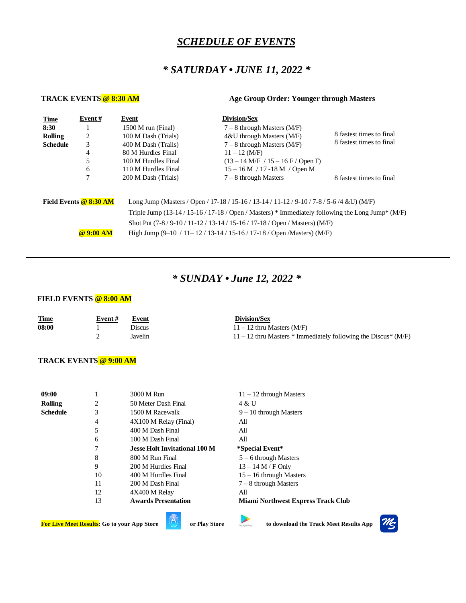### *SCHEDULE OF EVENTS*

## *\* SATURDAY • JUNE 11, 2022 \**

**TRACK EVENTS @ 8:30 AM Age Group Order: Younger through Masters**

| <b>Time</b>                                                                                                          | Event# | Event               | <b>Division/Sex</b>                                                 |                                                      |  |  |  |  |  |  |  |
|----------------------------------------------------------------------------------------------------------------------|--------|---------------------|---------------------------------------------------------------------|------------------------------------------------------|--|--|--|--|--|--|--|
| 8:30                                                                                                                 |        | 1500 M run (Final)  | $7-8$ through Masters (M/F)                                         |                                                      |  |  |  |  |  |  |  |
| Rolling                                                                                                              | 2      | 100 M Dash (Trials) | $4&U$ through Masters (M/F)                                         | 8 fastest times to final<br>8 fastest times to final |  |  |  |  |  |  |  |
| <b>Schedule</b>                                                                                                      | 3      | 400 M Dash (Trails) | $7-8$ through Masters (M/F)                                         |                                                      |  |  |  |  |  |  |  |
|                                                                                                                      | 4      | 80 M Hurdles Final  | $11 - 12$ (M/F)                                                     |                                                      |  |  |  |  |  |  |  |
|                                                                                                                      | 5      | 100 M Hurdles Final | $(13 - 14 \text{ M/F} / 15 - 16 \text{ F} / \text{Open F})$         |                                                      |  |  |  |  |  |  |  |
|                                                                                                                      | 6      | 110 M Hurdles Final | $15 - 16$ M / 17 -18 M / Open M                                     |                                                      |  |  |  |  |  |  |  |
|                                                                                                                      |        | 200 M Dash (Trials) | $7-8$ through Masters                                               | 8 fastest times to final                             |  |  |  |  |  |  |  |
|                                                                                                                      |        |                     |                                                                     |                                                      |  |  |  |  |  |  |  |
| Field Events @ 8:30 AM<br>Long Jump (Masters / Open / 17-18 / 15-16 / 13-14 / 11-12 / 9-10 / 7-8 / 5-6 /4 & U) (M/F) |        |                     |                                                                     |                                                      |  |  |  |  |  |  |  |
| Triple Jump (13-14/15-16/17-18/Open/Masters) * Immediately following the Long Jump* $(M/F)$                          |        |                     |                                                                     |                                                      |  |  |  |  |  |  |  |
|                                                                                                                      |        |                     | Shot Put $(7-8/9-10/11-12/13-14/15-16/17-18/$ Open / Masters) (M/F) |                                                      |  |  |  |  |  |  |  |
| @9:00AM<br>High Jump $(9-10 / 11-12 / 13-14 / 15-16 / 17-18 /$ Open /Masters) (M/F)                                  |        |                     |                                                                     |                                                      |  |  |  |  |  |  |  |
|                                                                                                                      |        |                     |                                                                     |                                                      |  |  |  |  |  |  |  |

## *\* SUNDAY • June 12, 2022 \**

#### **FIELD EVENTS @ 8:00 AM**

| <b>Time</b> | Event # | Event   | Division/Sex                                                      |
|-------------|---------|---------|-------------------------------------------------------------------|
| 08:00       |         | Discus  | $11 - 12$ thru Masters (M/F)                                      |
|             |         | Javelin | $11 - 12$ thru Masters * Immediately following the Discus * (M/F) |

#### **TRACK EVENTS @ 9:00 AM**

| 09:00           |    | 3000 M Run                           | $11 - 12$ through Masters                 |
|-----------------|----|--------------------------------------|-------------------------------------------|
| <b>Rolling</b>  | 2  | 50 Meter Dash Final                  | 4 & U                                     |
| <b>Schedule</b> | 3  | 1500 M Racewalk                      | $9-10$ through Masters                    |
|                 | 4  | 4X100 M Relay (Final)                | All                                       |
|                 | 5  | 400 M Dash Final                     | All                                       |
|                 | 6  | 100 M Dash Final                     | All                                       |
|                 | 7  | <b>Jesse Holt Invitational 100 M</b> | *Special Event*                           |
|                 | 8  | 800 M Run Final                      | $5 - 6$ through Masters                   |
|                 | 9  | 200 M Hurdles Final                  | $13 - 14 M / F$ Only                      |
|                 | 10 | 400 M Hurdles Final                  | $15 - 16$ through Masters                 |
|                 | 11 | 200 M Dash Final                     | $7 - 8$ through Masters                   |
|                 | 12 | 4X400 M Relay                        | All                                       |
|                 | 13 | <b>Awards Presentation</b>           | <b>Miami Northwest Express Track Club</b> |

**For Live Meet Results:** Go to your App Store **or Play Store** to download the Track Meet Results App